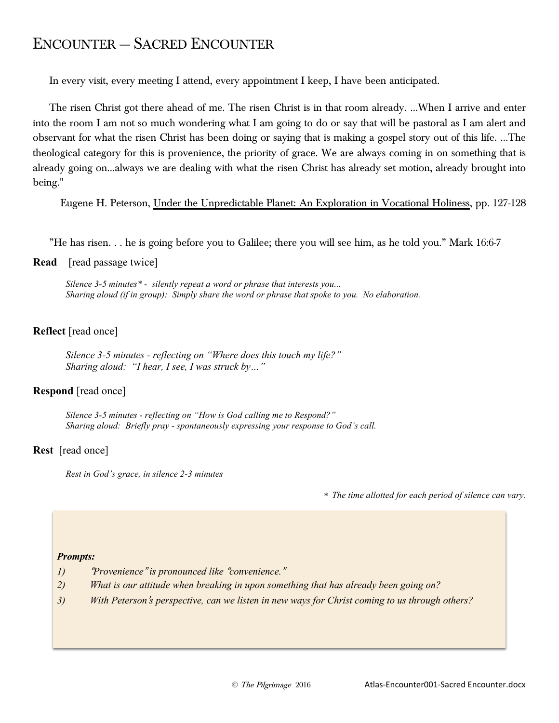# ENCOUNTER — SACRED ENCOUNTER

In every visit, every meeting I attend, every appointment I keep, I have been anticipated.

The risen Christ got there ahead of me. The risen Christ is in that room already. …When I arrive and enter into the room I am not so much wondering what I am going to do or say that will be pastoral as I am alert and observant for what the risen Christ has been doing or saying that is making a gospel story out of this life. …The theological category for this is provenience, the priority of grace. We are always coming in on something that is already going on…always we are dealing with what the risen Christ has already set motion, already brought into being."

Eugene H. Peterson, Under the Unpredictable Planet: An Exploration in Vocational Holiness, pp. 127-128

"He has risen. . . he is going before you to Galilee; there you will see him, as he told you." Mark 16:6-7

**Read** [read passage twice]

*Silence 3-5 minutes\* - silently repeat a word or phrase that interests you... Sharing aloud (if in group): Simply share the word or phrase that spoke to you. No elaboration.*

## **Reflect** [read once]

*Silence 3-5 minutes - reflecting on "Where does this touch my life?" Sharing aloud: "I hear, I see, I was struck by…"*

## **Respond** [read once]

*Silence 3-5 minutes - reflecting on "How is God calling me to Respond?" Sharing aloud: Briefly pray - spontaneously expressing your response to God's call.*

#### **Rest** [read once]

*Rest in God's grace, in silence 2-3 minutes*

\* *The time allotted for each period of silence can vary.*

#### *Prompts:*

- *1)* "*Provenience*" *is pronounced like* "*convenience.*"
- *2) What is our attitude when breaking in upon something that has already been going on?*
- *3) With Peterson*'*s perspective, can we listen in new ways for Christ coming to us through others?*